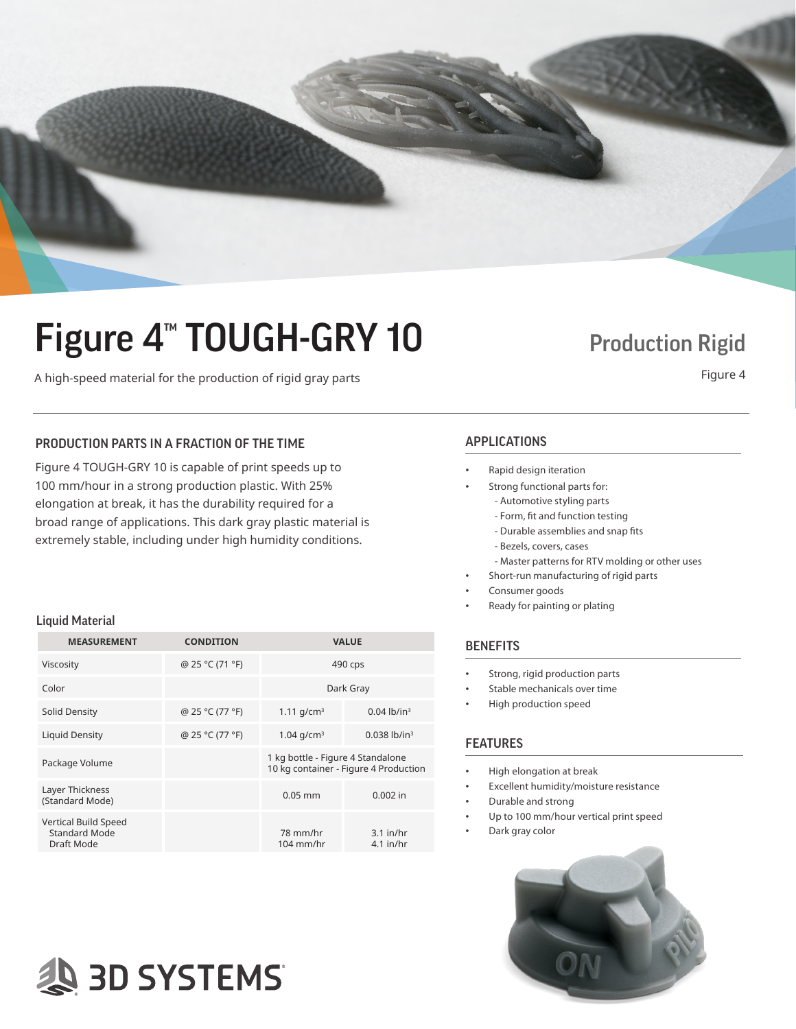

# Figure 4<sup>™</sup> TOUGH-GRY 10 Production Rigid

A high-speed material for the production of rigid gray parts A high-speed material for the production of rigid gray parts

## PRODUCTION PARTS IN A FRACTION OF THE TIME APPLICATIONS

Figure 4 TOUGH-GRY 10 is capable of print speeds up to 100 mm/hour in a strong production plastic. With 25% elongation at break, it has the durability required for a broad range of applications. This dark gray plastic material is extremely stable, including under high humidity conditions.

### Liquid Material

| <b>MEASUREMENT</b>                                         | <b>CONDITION</b> |                                                                            | <b>VALUE</b>               |
|------------------------------------------------------------|------------------|----------------------------------------------------------------------------|----------------------------|
| Viscosity                                                  | @ 25 °C (71 °F)  | 490 cps                                                                    |                            |
| Color                                                      |                  | Dark Gray                                                                  |                            |
| Solid Density                                              | @ 25 °C (77 °F)  | 1.11 $q/cm^3$                                                              | $0.04$ lb/in <sup>3</sup>  |
| Liquid Density                                             | @ 25 °C (77 °F)  | 1.04 $q/cm^3$                                                              | $0.038$ lb/in <sup>3</sup> |
| Package Volume                                             |                  | 1 kg bottle - Figure 4 Standalone<br>10 kg container - Figure 4 Production |                            |
| Layer Thickness<br>(Standard Mode)                         |                  | $0.05$ mm                                                                  | $0.002$ in                 |
| Vertical Build Speed<br><b>Standard Mode</b><br>Draft Mode |                  | 78 mm/hr<br>$104$ mm/hr                                                    | $3.1$ in/hr<br>$4.1$ in/hr |

# **AS 3D SYSTEMS**

- Rapid design iteration
	- Strong functional parts for: - Automotive styling parts
		- Form, fit and function testing
		- Durable assemblies and snap fits
		- Bezels, covers, cases
	- Master patterns for RTV molding or other uses
- Short-run manufacturing of rigid parts
- Consumer goods
	- Ready for painting or plating

### **BENEFITS**

- Strong, rigid production parts
- Stable mechanicals over time
- High production speed

## FEATURES

- High elongation at break
- Excellent humidity/moisture resistance
- Durable and strong
- Up to 100 mm/hour vertical print speed
- Dark gray color